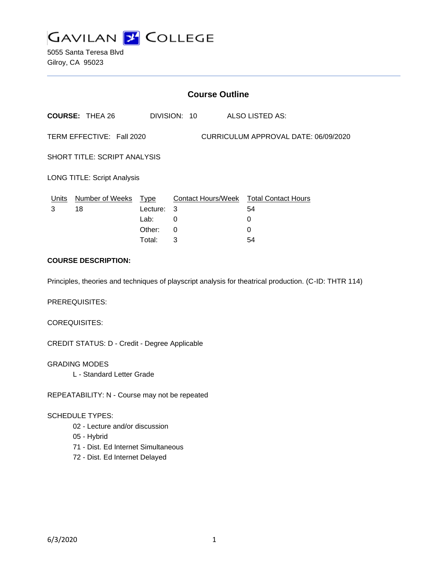

5055 Santa Teresa Blvd Gilroy, CA 95023

| <b>Course Outline</b>                                             |                        |          |                           |  |                            |
|-------------------------------------------------------------------|------------------------|----------|---------------------------|--|----------------------------|
|                                                                   | <b>COURSE: THEA 26</b> |          | DIVISION: 10              |  | ALSO LISTED AS:            |
| TERM EFFECTIVE: Fall 2020<br>CURRICULUM APPROVAL DATE: 06/09/2020 |                        |          |                           |  |                            |
| SHORT TITLE: SCRIPT ANALYSIS                                      |                        |          |                           |  |                            |
| <b>LONG TITLE: Script Analysis</b>                                |                        |          |                           |  |                            |
| Units                                                             | Number of Weeks        | Type     | <b>Contact Hours/Week</b> |  | <b>Total Contact Hours</b> |
| 3                                                                 | 18                     | Lecture: | -3                        |  | 54                         |
|                                                                   |                        | Lab:     | 0                         |  | $\Omega$                   |
|                                                                   |                        | Other:   | 0                         |  | 0                          |
|                                                                   |                        | Total:   | 3                         |  | 54                         |

## **COURSE DESCRIPTION:**

Principles, theories and techniques of playscript analysis for theatrical production. (C-ID: THTR 114)

PREREQUISITES:

COREQUISITES:

CREDIT STATUS: D - Credit - Degree Applicable

GRADING MODES

L - Standard Letter Grade

REPEATABILITY: N - Course may not be repeated

### SCHEDULE TYPES:

- 02 Lecture and/or discussion
- 05 Hybrid
- 71 Dist. Ed Internet Simultaneous
- 72 Dist. Ed Internet Delayed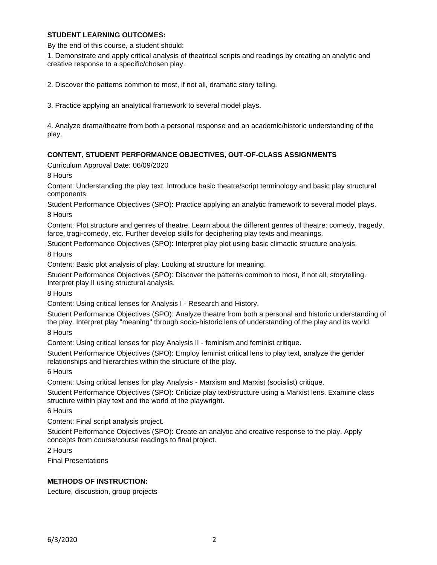### **STUDENT LEARNING OUTCOMES:**

By the end of this course, a student should:

1. Demonstrate and apply critical analysis of theatrical scripts and readings by creating an analytic and creative response to a specific/chosen play.

2. Discover the patterns common to most, if not all, dramatic story telling.

3. Practice applying an analytical framework to several model plays.

4. Analyze drama/theatre from both a personal response and an academic/historic understanding of the play.

### **CONTENT, STUDENT PERFORMANCE OBJECTIVES, OUT-OF-CLASS ASSIGNMENTS**

Curriculum Approval Date: 06/09/2020

8 Hours

Content: Understanding the play text. Introduce basic theatre/script terminology and basic play structural components.

Student Performance Objectives (SPO): Practice applying an analytic framework to several model plays. 8 Hours

Content: Plot structure and genres of theatre. Learn about the different genres of theatre: comedy, tragedy, farce, tragi-comedy, etc. Further develop skills for deciphering play texts and meanings.

Student Performance Objectives (SPO): Interpret play plot using basic climactic structure analysis.

8 Hours

Content: Basic plot analysis of play. Looking at structure for meaning.

Student Performance Objectives (SPO): Discover the patterns common to most, if not all, storytelling. Interpret play II using structural analysis.

8 Hours

Content: Using critical lenses for Analysis I - Research and History.

Student Performance Objectives (SPO): Analyze theatre from both a personal and historic understanding of the play. Interpret play "meaning" through socio-historic lens of understanding of the play and its world. 8 Hours

Content: Using critical lenses for play Analysis II - feminism and feminist critique.

Student Performance Objectives (SPO): Employ feminist critical lens to play text, analyze the gender relationships and hierarchies within the structure of the play.

6 Hours

Content: Using critical lenses for play Analysis - Marxism and Marxist (socialist) critique.

Student Performance Objectives (SPO): Criticize play text/structure using a Marxist lens. Examine class structure within play text and the world of the playwright.

6 Hours

Content: Final script analysis project.

Student Performance Objectives (SPO): Create an analytic and creative response to the play. Apply concepts from course/course readings to final project.

2 Hours

Final Presentations

### **METHODS OF INSTRUCTION:**

Lecture, discussion, group projects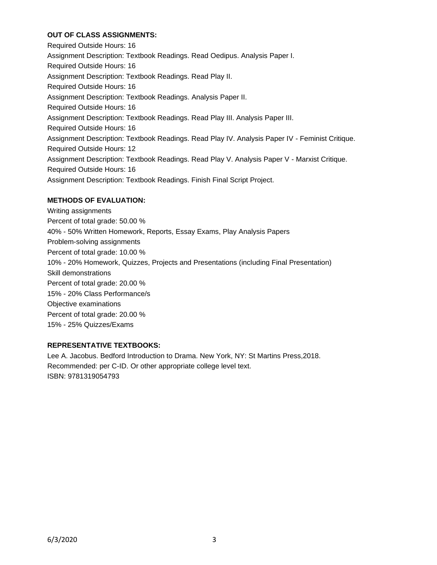# **OUT OF CLASS ASSIGNMENTS:**

Required Outside Hours: 16 Assignment Description: Textbook Readings. Read Oedipus. Analysis Paper I. Required Outside Hours: 16 Assignment Description: Textbook Readings. Read Play II. Required Outside Hours: 16 Assignment Description: Textbook Readings. Analysis Paper II. Required Outside Hours: 16 Assignment Description: Textbook Readings. Read Play III. Analysis Paper III. Required Outside Hours: 16 Assignment Description: Textbook Readings. Read Play IV. Analysis Paper IV - Feminist Critique. Required Outside Hours: 12 Assignment Description: Textbook Readings. Read Play V. Analysis Paper V - Marxist Critique. Required Outside Hours: 16 Assignment Description: Textbook Readings. Finish Final Script Project.

### **METHODS OF EVALUATION:**

Writing assignments Percent of total grade: 50.00 % 40% - 50% Written Homework, Reports, Essay Exams, Play Analysis Papers Problem-solving assignments Percent of total grade: 10.00 % 10% - 20% Homework, Quizzes, Projects and Presentations (including Final Presentation) Skill demonstrations Percent of total grade: 20.00 % 15% - 20% Class Performance/s Objective examinations Percent of total grade: 20.00 % 15% - 25% Quizzes/Exams

# **REPRESENTATIVE TEXTBOOKS:**

Lee A. Jacobus. Bedford Introduction to Drama. New York, NY: St Martins Press,2018. Recommended: per C-ID. Or other appropriate college level text. ISBN: 9781319054793